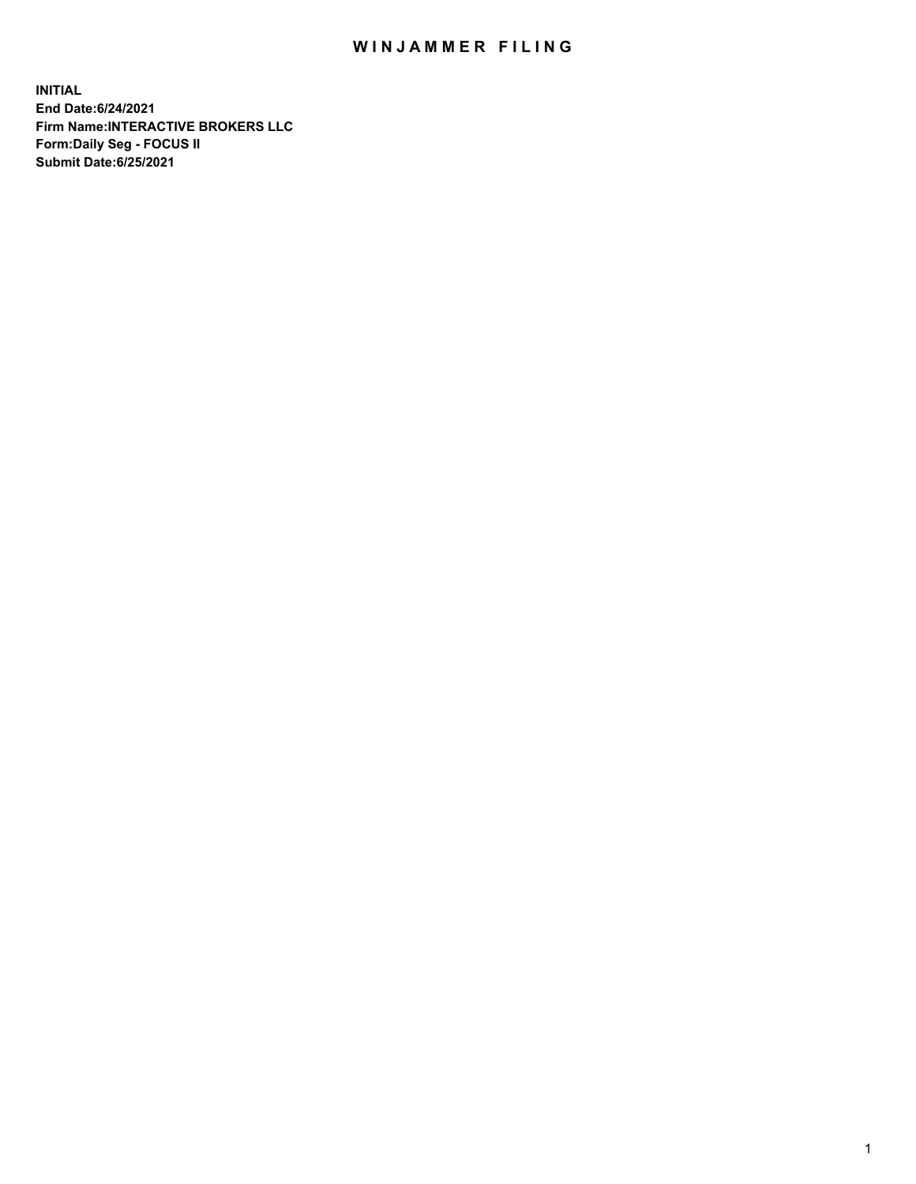## WIN JAMMER FILING

**INITIAL End Date:6/24/2021 Firm Name:INTERACTIVE BROKERS LLC Form:Daily Seg - FOCUS II Submit Date:6/25/2021**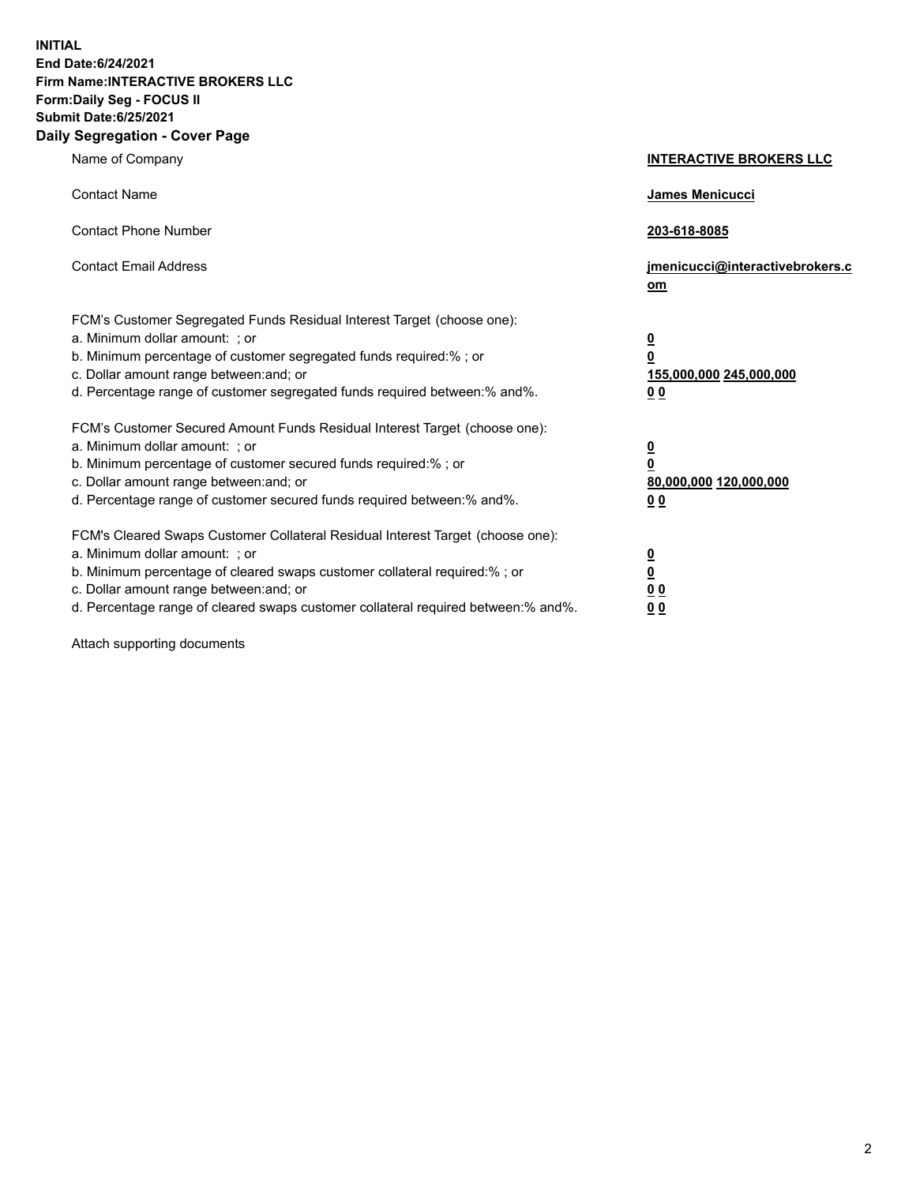**INITIAL End Date:6/24/2021 Firm Name:INTERACTIVE BROKERS LLC Form:Daily Seg - FOCUS II Submit Date:6/25/2021 Daily Segregation - Cover Page**

| Name of Company                                                                                                                                                                                                                                                                                                                | <b>INTERACTIVE BROKERS LLC</b>                                                   |  |
|--------------------------------------------------------------------------------------------------------------------------------------------------------------------------------------------------------------------------------------------------------------------------------------------------------------------------------|----------------------------------------------------------------------------------|--|
| <b>Contact Name</b>                                                                                                                                                                                                                                                                                                            | James Menicucci                                                                  |  |
| <b>Contact Phone Number</b>                                                                                                                                                                                                                                                                                                    | 203-618-8085                                                                     |  |
| <b>Contact Email Address</b>                                                                                                                                                                                                                                                                                                   | jmenicucci@interactivebrokers.c<br>om                                            |  |
| FCM's Customer Segregated Funds Residual Interest Target (choose one):<br>a. Minimum dollar amount: ; or<br>b. Minimum percentage of customer segregated funds required:% ; or<br>c. Dollar amount range between: and; or<br>d. Percentage range of customer segregated funds required between:% and%.                         | <u>0</u><br>$\overline{\mathbf{0}}$<br>155,000,000 245,000,000<br>0 <sub>0</sub> |  |
| FCM's Customer Secured Amount Funds Residual Interest Target (choose one):<br>a. Minimum dollar amount: ; or<br>b. Minimum percentage of customer secured funds required:% ; or<br>c. Dollar amount range between: and; or<br>d. Percentage range of customer secured funds required between:% and%.                           | <u>0</u><br>$\overline{\mathbf{0}}$<br>80,000,000 120,000,000<br>0 <sub>0</sub>  |  |
| FCM's Cleared Swaps Customer Collateral Residual Interest Target (choose one):<br>a. Minimum dollar amount: ; or<br>b. Minimum percentage of cleared swaps customer collateral required:% ; or<br>c. Dollar amount range between: and; or<br>d. Percentage range of cleared swaps customer collateral required between:% and%. | <u>0</u><br>$\underline{\mathbf{0}}$<br>0 <sub>0</sub><br>0 <sub>0</sub>         |  |

Attach supporting documents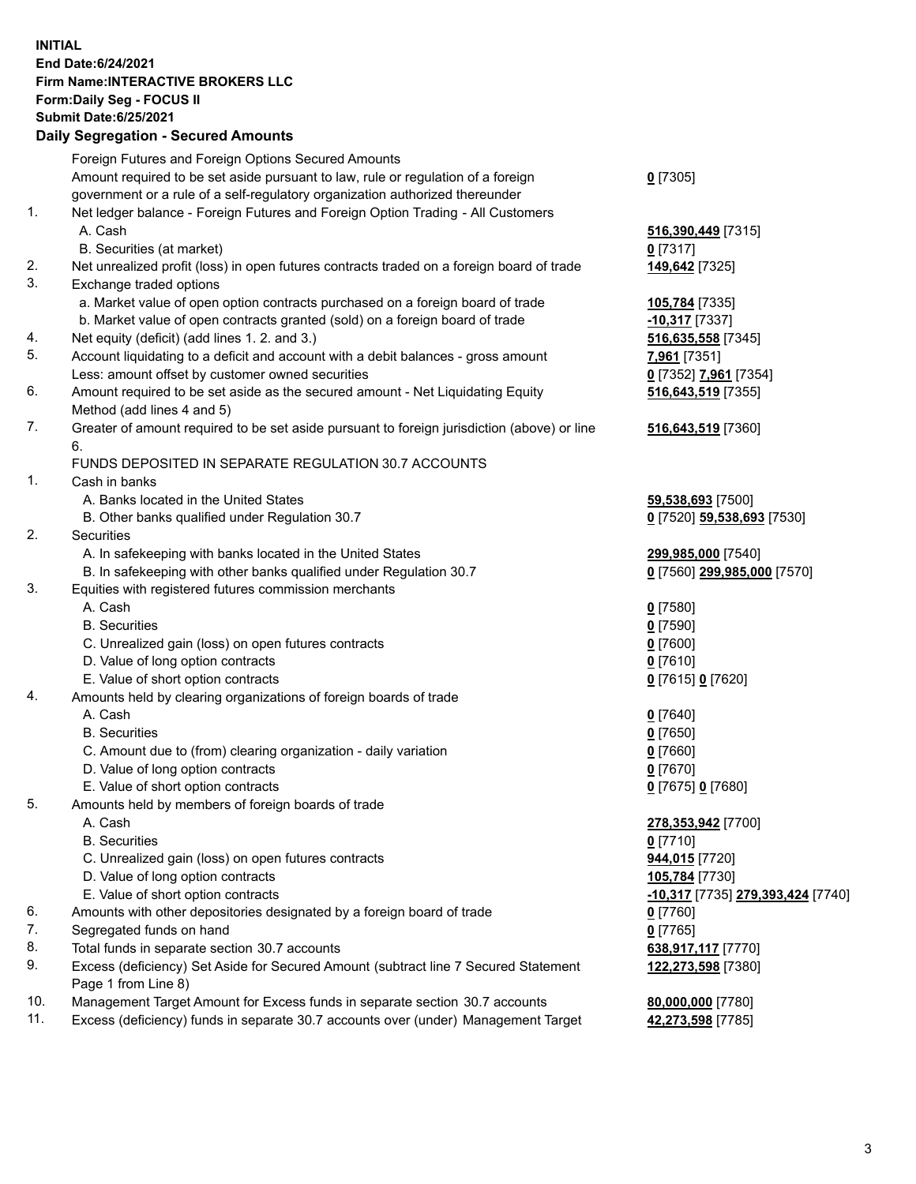**INITIAL End Date:6/24/2021 Firm Name:INTERACTIVE BROKERS LLC Form:Daily Seg - FOCUS II Submit Date:6/25/2021 Daily Segregation - Secured Amounts**

## Foreign Futures and Foreign Options Secured Amounts Amount required to be set aside pursuant to law, rule or regulation of a foreign government or a rule of a self-regulatory organization authorized thereunder **0** [7305] 1. Net ledger balance - Foreign Futures and Foreign Option Trading - All Customers A. Cash **516,390,449** [7315] B. Securities (at market) **0** [7317] 2. Net unrealized profit (loss) in open futures contracts traded on a foreign board of trade **149,642** [7325] 3. Exchange traded options a. Market value of open option contracts purchased on a foreign board of trade **105,784** [7335] b. Market value of open contracts granted (sold) on a foreign board of trade **-10,317** [7337] 4. Net equity (deficit) (add lines 1. 2. and 3.) **516,635,558** [7345] 5. Account liquidating to a deficit and account with a debit balances - gross amount **7,961** [7351] Less: amount offset by customer owned securities **0** [7352] **7,961** [7354] 6. Amount required to be set aside as the secured amount - Net Liquidating Equity Method (add lines 4 and 5) **516,643,519** [7355] 7. Greater of amount required to be set aside pursuant to foreign jurisdiction (above) or line 6. **516,643,519** [7360] FUNDS DEPOSITED IN SEPARATE REGULATION 30.7 ACCOUNTS 1. Cash in banks A. Banks located in the United States **59,538,693** [7500] B. Other banks qualified under Regulation 30.7 **0** [7520] **59,538,693** [7530] 2. Securities A. In safekeeping with banks located in the United States **299,985,000** [7540] B. In safekeeping with other banks qualified under Regulation 30.7 **0** [7560] **299,985,000** [7570] 3. Equities with registered futures commission merchants A. Cash **0** [7580] B. Securities **0** [7590] C. Unrealized gain (loss) on open futures contracts **0** [7600] D. Value of long option contracts **0** [7610] E. Value of short option contracts **0** [7615] **0** [7620] 4. Amounts held by clearing organizations of foreign boards of trade A. Cash **0** [7640] B. Securities **0** [7650] C. Amount due to (from) clearing organization - daily variation **0** [7660] D. Value of long option contracts **0** [7670] E. Value of short option contracts **0** [7675] **0** [7680] 5. Amounts held by members of foreign boards of trade A. Cash **278,353,942** [7700] B. Securities **0** [7710] C. Unrealized gain (loss) on open futures contracts **944,015** [7720] D. Value of long option contracts **105,784** [7730] E. Value of short option contracts **-10,317** [7735] **279,393,424** [7740] 6. Amounts with other depositories designated by a foreign board of trade **0** [7760] 7. Segregated funds on hand **0** [7765] 8. Total funds in separate section 30.7 accounts **638,917,117** [7770] 9. Excess (deficiency) Set Aside for Secured Amount (subtract line 7 Secured Statement Page 1 from Line 8) **122,273,598** [7380] 10. Management Target Amount for Excess funds in separate section 30.7 accounts **80,000,000** [7780] 11. Excess (deficiency) funds in separate 30.7 accounts over (under) Management Target **42,273,598** [7785]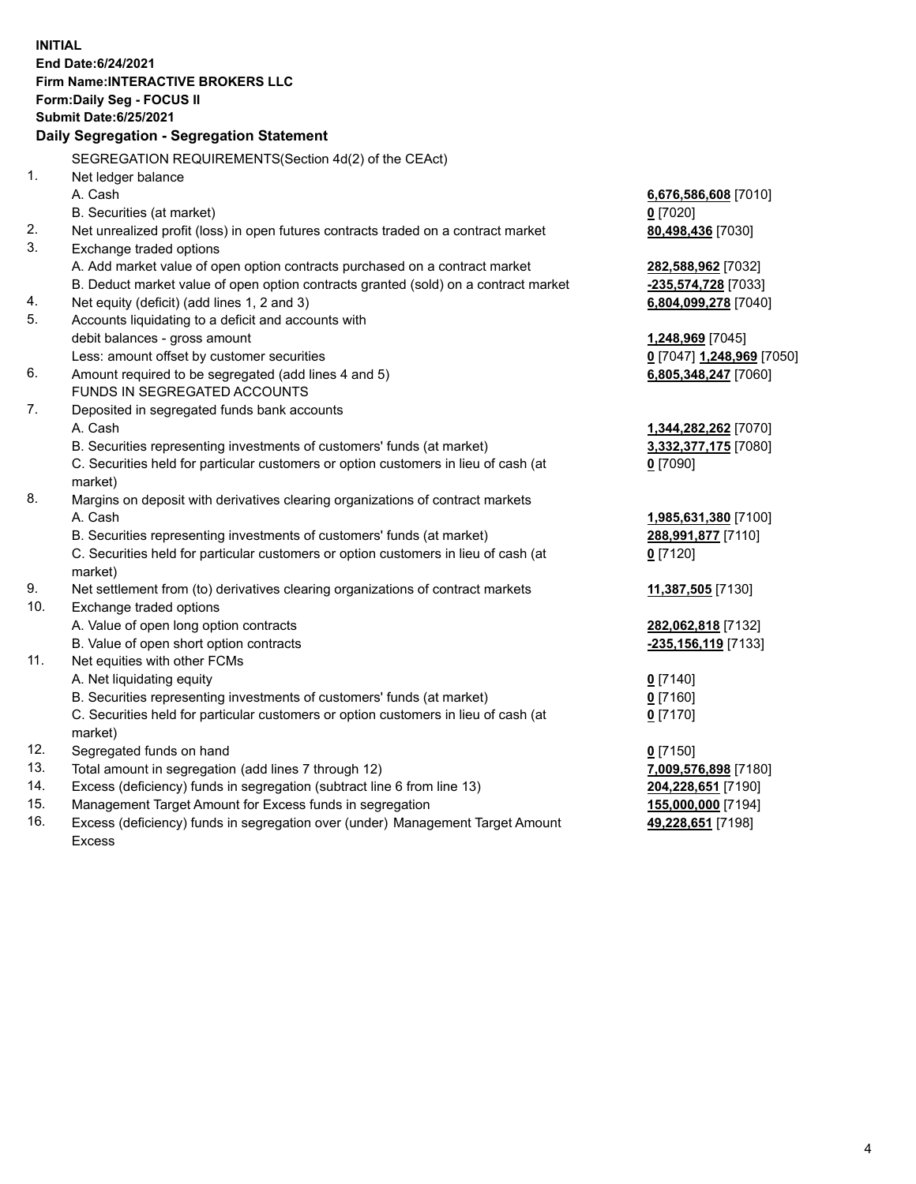**INITIAL End Date:6/24/2021 Firm Name:INTERACTIVE BROKERS LLC Form:Daily Seg - FOCUS II Submit Date:6/25/2021 Daily Segregation - Segregation Statement** SEGREGATION REQUIREMENTS(Section 4d(2) of the CEAct) 1. Net ledger balance A. Cash **6,676,586,608** [7010] B. Securities (at market) **0** [7020] 2. Net unrealized profit (loss) in open futures contracts traded on a contract market **80,498,436** [7030] 3. Exchange traded options A. Add market value of open option contracts purchased on a contract market **282,588,962** [7032] B. Deduct market value of open option contracts granted (sold) on a contract market **-235,574,728** [7033] 4. Net equity (deficit) (add lines 1, 2 and 3) **6,804,099,278** [7040] 5. Accounts liquidating to a deficit and accounts with debit balances - gross amount **1,248,969** [7045] Less: amount offset by customer securities **0** [7047] **1,248,969** [7050] 6. Amount required to be segregated (add lines 4 and 5) **6,805,348,247** [7060] FUNDS IN SEGREGATED ACCOUNTS 7. Deposited in segregated funds bank accounts A. Cash **1,344,282,262** [7070] B. Securities representing investments of customers' funds (at market) **3,332,377,175** [7080] C. Securities held for particular customers or option customers in lieu of cash (at market) **0** [7090] 8. Margins on deposit with derivatives clearing organizations of contract markets A. Cash **1,985,631,380** [7100] B. Securities representing investments of customers' funds (at market) **288,991,877** [7110] C. Securities held for particular customers or option customers in lieu of cash (at market) **0** [7120] 9. Net settlement from (to) derivatives clearing organizations of contract markets **11,387,505** [7130] 10. Exchange traded options A. Value of open long option contracts **282,062,818** [7132] B. Value of open short option contracts **-235,156,119** [7133] 11. Net equities with other FCMs A. Net liquidating equity **0** [7140] B. Securities representing investments of customers' funds (at market) **0** [7160] C. Securities held for particular customers or option customers in lieu of cash (at market) **0** [7170] 12. Segregated funds on hand **0** [7150] 13. Total amount in segregation (add lines 7 through 12) **7,009,576,898** [7180] 14. Excess (deficiency) funds in segregation (subtract line 6 from line 13) **204,228,651** [7190] 15. Management Target Amount for Excess funds in segregation **155,000,000** [7194]

16. Excess (deficiency) funds in segregation over (under) Management Target Amount Excess

**49,228,651** [7198]